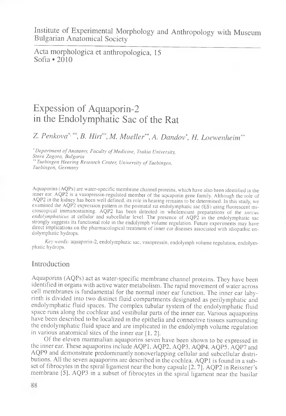Acta morphologica et anthropologica, 15 Sofia  $\cdot$  2010

# Expession of Aquaporin-2 in the Endolymphatic Sac of the Rat

Z. Penkova<sup>, +</sup>, B. Hirt<sup>\*</sup>, M. Mueller<sup>\*\*</sup>, A. Dandov<sup>\*</sup>, H. Loewenheim<sup>\*\*</sup>

\* *Department of Anatomy, Faculty of Medicine, Trakia University, S ta r a Z a g o ra , B u lg a r ia* \*\* *Tuebingen Hearing Research Center, University of Tuebingen, T u e b in g e n , G e r m a n y*

Aquaporins (AQPs) are water-specific membrane channel proteins, which have also been identified in the inner ear. AQP2 is a vasopressin-regulated member of the aquaporin gene family. Although the role of AQP2 in the kidney has been well defined, its role in hearing remains to be determined. In this study, we examined the AQP2 expression pattern in the postnatal rat endolymphatic sac (ES) using fluorescent microscopical immunostaining. AQP2 has been detected in wholemount preparations of the *saccus endolymphaticus* at cellular and subcellular level. The presence of AQP2 in the endolymphatic sac strongly suggests its functional role in the endolymph volume regulation. Future experiments may have direct implications on the pharmacological treatment of inner ear diseases associated with idiopathic endolymphatic hydrops.

*Key words:* aquaporin-2, endolymphatic sac, vasopressin, endolymph volume regulation, endolymphatic hydrops.

## Introduction

Aquaporins (AQPs) act as water-specific membrane channel proteins. They have been identified in organs with active water metabolism. The rapid movement of water across cell membranes is fundamental for the normal inner ear function. The inner ear labyrinth is divided into two distinct fluid compartments designated as perilymphatic and endolymphatic fluid spaces. The complex tubular system of the endolymphatic fluid space runs along the cochlear and vestibular parts of the inner ear. Various aquaporins have been described to be localized in the epithelia and connective tissues surrounding the endolymphatic fluid space and are implicated in the endolymph volume regulation in various anatomical sites of the inner ear [1, 2].

Of the eleven mammalian aquaporins seven have been shown to be expressed in the inner ear. These aquaporins include AQP1, AQP2, AQP3, AQP4, AQP5, AQP7 and AQP9 and demonstrate predominantly nonoverlapping cellular and subcellular distributions. All the seven aquaporins are described in the cochlea. AQP1 is found in a subset of fibrocytes in the spiral ligament near the bony capsule [2, 7]. AQP2 in Reissner's membrane [5], AQP3 in a subset of fibrocytes in the spiral ligament near the basilar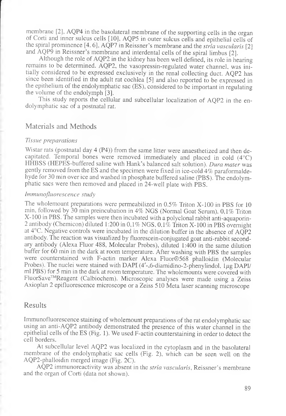membrane [2], AQP4 in the basolateral membrane of the supporting cells in the organ of Corti and inner sulcus cells [10], AQP5 in outer sulcus cells and epithelial cells of the spiral prominence [4. 6], AQP7 in Reissner's membrane and the *stria vascularis* [2] and AQP9 in Reissner's membrane and interdental cells of the spiral limbus [2].

Although the role of AQP2 in the kidney has been well defined, its role in hearing remains to be determined. AQP2, the vasopressin-regulated water channel, was initially considered to be expressed exclusively in the renal collecting duct. AQP2 has since been identified in the adult rat cochlea [5] and also reported to be expressed in the epithelium of the endolymphatic sac (ES), considered to be important in regulating the volume of the endolymph [3].

This study reports the cellular and subcellular localization of AQP2 in the endolymphatic sac of a postnatal rat.

## Materials and Methods

#### *Tissue preparations*

Wistar rats (postnatal day 4 (P4)) from the same litter were anaesthetized and then decapitated. Temporal bones were removed immediately and placed in cold (4°C) HHBSS (HEPES-buffered saline with Hank's balanced salt solution). *Dura mater* was gently removed from the ES and the specimen were fixed in ice-cold 4% paraformaldehyde for 30 min over ice and washed in phosphate buffered saline (PBS). The endolymphatic sacs were then removed and placed in 24-well plate with PBS.

#### *Immunofluorescence study*

The wholemount preparations were permeabilized in 0.5% Triton X-100 in PBS for 10 min, followed by 30 min preincubation in 4% NGS (Normal Goat Serum), 0,1% Triton X-100 in PBS. The samples were then incubated with a polyclonal rabbit anti-aquaporin-2 antibody (Chemicon) diluted 1:200 in 0,1% NGS, 0,1% Triton X-100 in PBS overnight at 4°C. Negative controls were incubated in the dilution buffer in the absence of AQP2 antibody. The reaction was visualized by fluorescein-conjugated goat anti-rabbit secondary antibody (Alexa Fluor 488, Molecular Probes), diluted 1:400 in the same dilution buffer for 60 min in the dark at room temperature. After washing with PBS the samples were counterstained with F-actin marker Alexa Fluor®568 phalloidin (Molecular Probes). The nuclei were stained with DAPI  $(4^{\prime}$ -,6-diamidino-2-phenylindol,  $1\mu$ g DAPI/ ml PBS) for 5 min in the dark at room temperature. The wholemounts were covered with FluorSave™Reagent (Calbiochem). Microscopic analyses were made using a Zeiss Axioplan 2 epifluorescence microscope or a Zeiss 510 Meta laser scanning microscope

## Results

Immunofluorescence staining of wholemount preparations of the rat endolymphatic sac using an anti-AQP2 antibody demonstrated the presence of this water channel in the epithelial cells of the ES (Fig. 1). We used F-actin counterstaining in order to detect the cell borders.

At subcellular level AQP2 was localized in the cytoplasm and in the basolateral membrane of the endolymphatic sac cells (Fig. 2), which can be seen well on the AQP2-phalloidm merged image (Fig. 2C).

AQP2 immunoreactivity was absent in the *stria vascularis,* Reissner's membrane and the organ of Corti (data not shown).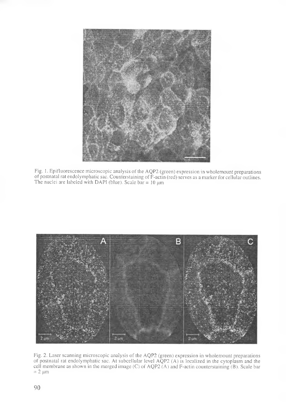

Fig. 1. Epifluorescence microscopic analysis of the AQP2 (green) expression in wholemount preparations of postnatal rat endolymphatic sac. Counterstaining of F-actin (red) serves as a marker for cellular outlines. The nuclei are labeled with DAPI (blue). Scale  $bar = 10 \mu m$ 



Fig. 2. Laser scanning microscopic analysis of the AQP2 (green) expression in wholemount preparations of postnatal rat endolymphatic sac. At subcellular level AQP2 (A) is localized in the cytoplasm and the cell membrane as shown in the merged image (C) of AQP2 (A) and F-actin counterstaining (B). Scale bar  $= 2 \mu m$